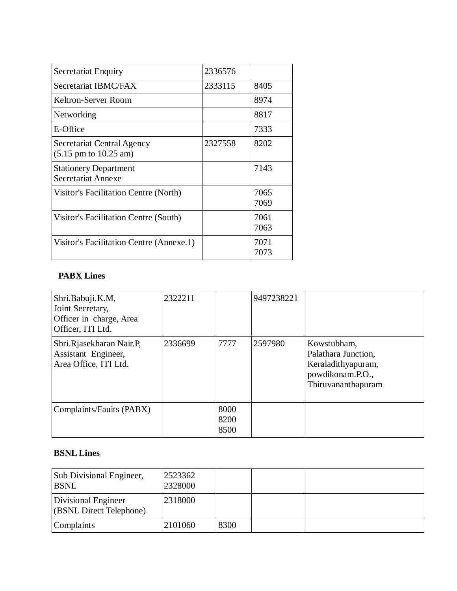| Secretariat Enquiry                                                    | 2336576 |              |
|------------------------------------------------------------------------|---------|--------------|
| Secretariat IBMC/FAX                                                   | 2333115 | 8405         |
| Keltron-Server Room                                                    |         | 8974         |
| Networking                                                             |         | 8817         |
| E-Office                                                               |         | 7333         |
| Secretariat Central Agency<br>$(5.15 \text{ pm to } 10.25 \text{ am})$ | 2327558 | 8202         |
| <b>Stationery Department</b><br>Secretariat Annexe                     |         | 7143         |
| Visitor's Facilitation Centre (North)                                  |         | 7065<br>7069 |
| Visitor's Facilitation Centre (South)                                  |         | 7061<br>7063 |
| Visitor's Facilitation Centre (Annexe.1)                               |         | 7071<br>7073 |

### **PABX Lines**

| Shri.Babuji.K.M,<br>Joint Secretary,<br>Officer in charge, Area<br>Officer, ITI Ltd. | 2322211 |                      | 9497238221 |                                                                                                    |
|--------------------------------------------------------------------------------------|---------|----------------------|------------|----------------------------------------------------------------------------------------------------|
| Shri.Rjasekharan Nair.P,<br>Assistant Engineer,<br>Area Office, ITI Ltd.             | 2336699 | 7777                 | 2597980    | Kowstubham,<br>Palathara Junction,<br>Keraladithyapuram,<br>powdikonam.P.O.,<br>Thiruvananthapuram |
| Complaints/Fauits (PABX)                                                             |         | 8000<br>8200<br>8500 |            |                                                                                                    |

### **BSNL Lines**

| <b>Sub Divisional Engineer,</b><br><b>BSNL</b> | 2523362<br>2328000 |      |  |
|------------------------------------------------|--------------------|------|--|
| Divisional Engineer<br>(BSNL Direct Telephone) | 2318000            |      |  |
| Complaints                                     | 2101060            | 8300 |  |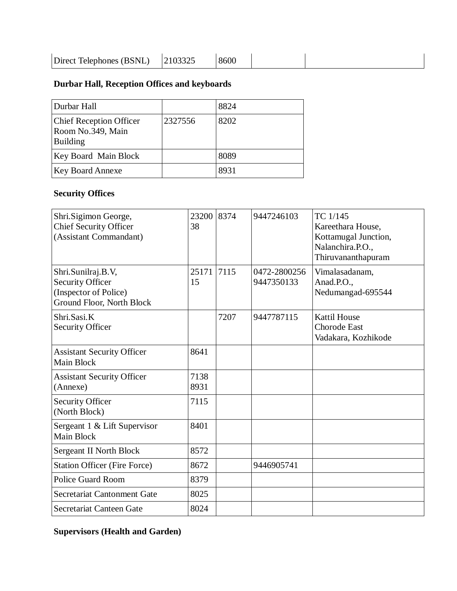| Direct Telephones (BSNL) | 8600 |  |  |  |
|--------------------------|------|--|--|--|
|--------------------------|------|--|--|--|

# **Durbar Hall, Reception Offices and keyboards**

| Durbar Hall                                                            |         | 8824 |
|------------------------------------------------------------------------|---------|------|
| <b>Chief Reception Officer</b><br>Room No.349, Main<br><b>Building</b> | 2327556 | 8202 |
| Key Board Main Block                                                   |         | 8089 |
| <b>Key Board Annexe</b>                                                |         | 8931 |

# **Security Offices**

| Shri.Sigimon George,<br><b>Chief Security Officer</b><br>(Assistant Commandant)                     | 23200<br>38  | 8374 | 9447246103                 | TC 1/145<br>Kareethara House,<br>Kottamugal Junction,<br>Nalanchira.P.O.,<br>Thiruvananthapuram |
|-----------------------------------------------------------------------------------------------------|--------------|------|----------------------------|-------------------------------------------------------------------------------------------------|
| Shri.Sunilraj.B.V,<br><b>Security Officer</b><br>(Inspector of Police)<br>Ground Floor, North Block | 25171<br>15  | 7115 | 0472-2800256<br>9447350133 | Vimalasadanam,<br>Anad.P.O.,<br>Nedumangad-695544                                               |
| Shri.Sasi.K<br><b>Security Officer</b>                                                              |              | 7207 | 9447787115                 | <b>Kattil House</b><br><b>Chorode East</b><br>Vadakara, Kozhikode                               |
| <b>Assistant Security Officer</b><br><b>Main Block</b>                                              | 8641         |      |                            |                                                                                                 |
| <b>Assistant Security Officer</b><br>(Annexe)                                                       | 7138<br>8931 |      |                            |                                                                                                 |
| <b>Security Officer</b><br>(North Block)                                                            | 7115         |      |                            |                                                                                                 |
| Sergeant 1 & Lift Supervisor<br><b>Main Block</b>                                                   | 8401         |      |                            |                                                                                                 |
| <b>Sergeant II North Block</b>                                                                      | 8572         |      |                            |                                                                                                 |
| <b>Station Officer (Fire Force)</b>                                                                 | 8672         |      | 9446905741                 |                                                                                                 |
| <b>Police Guard Room</b>                                                                            | 8379         |      |                            |                                                                                                 |
| Secretariat Cantonment Gate                                                                         | 8025         |      |                            |                                                                                                 |
| Secretariat Canteen Gate                                                                            | 8024         |      |                            |                                                                                                 |
|                                                                                                     |              |      |                            |                                                                                                 |

# **Supervisors (Health and Garden)**